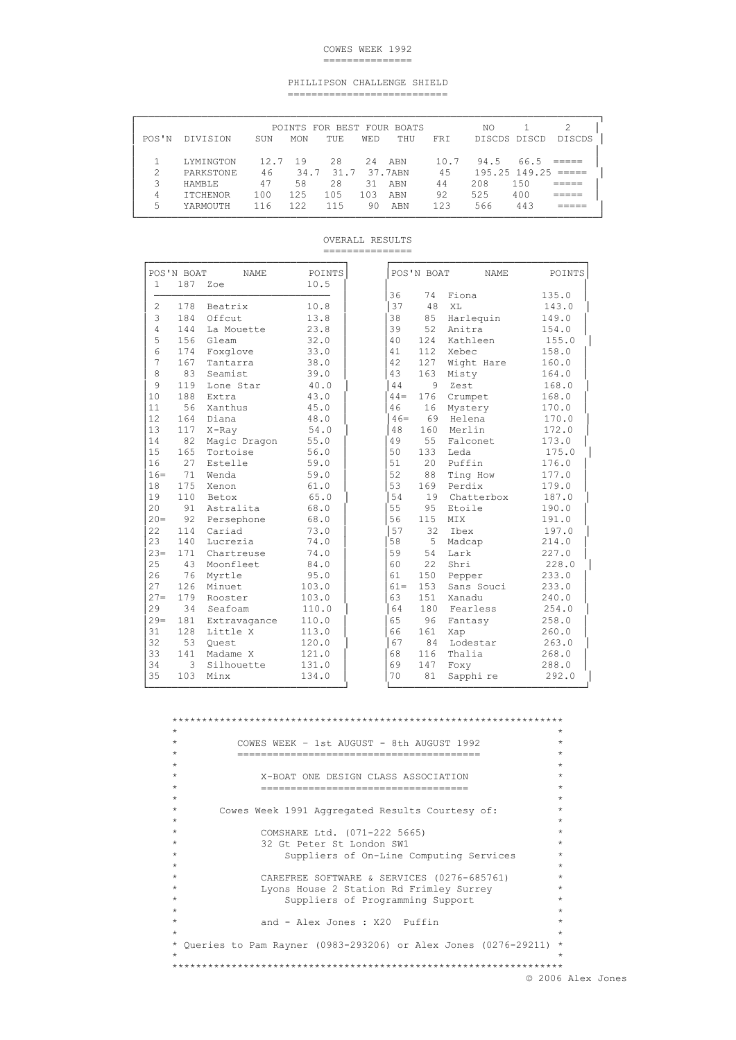### COWES WEEK 1992 ===============

#### PHILLIPSON CHALLENGE SHIELD ===========================

|                 |     |            |            |            |     |                                              | NO   |      |                               |
|-----------------|-----|------------|------------|------------|-----|----------------------------------------------|------|------|-------------------------------|
| DIVISION        | SUN | <b>MON</b> | <b>TUE</b> | <b>WED</b> | THU | <b>FRT</b>                                   |      |      | <b>DISCDS</b>                 |
| LYMINGTON       |     | 19         | 28         | 2.4        |     | 10.7                                         | 94.5 | 66.5 |                               |
| PARKSTONE       | 46  |            | 31.7       |            |     | 45                                           |      |      |                               |
| HAMBLE.         | 47  | 58         | 28         | 31         | ABN | 44                                           | 208  | 150  |                               |
| <b>TTCHENOR</b> | 100 | 125        | 105        | 103        | ABN | 92                                           | 525  | 400  |                               |
| YARMOUTH        | 116 | 122.       | 115        | 90         | ABN | 123                                          | 566  | 443  |                               |
|                 |     |            | 12.7       | 34.7       |     | POINTS FOR BEST FOUR BOATS<br>ABN<br>37.7ABN |      |      | DISCDS DISCD<br>195.25 149.25 |

OVERALL RESULTS

===============

|                | POS'N BOAT | NAME.        | <b>POINTS</b> |
|----------------|------------|--------------|---------------|
| $\mathbf{1}$   | 187        | Zoe          | 10.5          |
|                |            |              |               |
| $\overline{c}$ | 178        | Beatrix      | 10.8          |
| 3              | 184        | Offcut       | 13.8          |
| 4              | 144        | La Mouette   | 23.8          |
| 5              | 156        | Gleam        | 32.0          |
| 6              | 174        | Foxglove     | 33.0          |
| 7              | 167        | Tantarra     | 38.0          |
| 8              | 83         | Seamist      | 39.0          |
| 9              | 119        | Lone Star    | 40.0          |
| 10             | 188        | Extra        | 43.0          |
| 11             | 56         | Xanthus      | 45.0          |
| 12             | 164        | Diana        | 48.0          |
| 13             | 117        | $X$ -Ray     | 54.0          |
| 14             | 82         | Magic Dragon | 55.0          |
| 15             | 165        | Tortoise     | 56.0          |
| 16             | 2.7        | Estelle      | 59.0          |
| $16=$          | 71         | Wenda        | 59.0          |
| 18             | 175        | Xenon        | 61.0          |
| 19             | 110        | Betox        | 65.0          |
| 20             | 91         | Astralita    | 68.0          |
| $20 =$         | 92         | Persephone   | 68.0          |
| 22             | 114        | Cariad       | 73.0          |
| 23             | 140        | Lucrezia     | 74.0          |
| $23 =$         | 171        | Chartreuse   | 74.0          |
| 25             | 43         | Moonfleet    | 84.0          |
| 26             | 76         | Myrtle       | 95.0          |
| 2.7            | 126        | Minuet       | 103.0         |
| $27 =$         | 179        | Rooster      | 103.0         |
| 29             | 34         | Seafoam      | 110.0         |
| $29=$          | 181        | Extravagance | 110.0         |
| 31             | 128        | Little X     | 113.0         |
| 32             | 53         | Ouest        | 120.0         |
| 33             | 141        | Madame X     | 121.0         |
| 34             | 3          | Silhouette   |               |
| 35             | 103        | Minx         | 131.0         |
|                |            |              | 134.0         |

\*\*\*\*\*\*\*\*\*\*\*\*\*\*\*\*\*\*\*\*\*\*\*\*\*\*\*\*\*\*\*\*\*\*\*\*\*\*\*\*\*\*\*\*\*\*\*\*\*\*\*\*\*\*\*\*\*\*\*\*\*\*\*\*\*\*  $\star$   $\star$ \* COWES WEEK – 1st AUGUST - 8th AUGUST 1992 \* \* ========================================= \*  $\star$   $\star$ \* X-BOAT ONE DESIGN CLASS ASSOCIATION \* \* =================================== \*  $\star$   $\star$ \* Cowes Week 1991 Aggregated Results Courtesy of: \*  $\star$   $\star$ \* COMSHARE Ltd. (071-222 5665) \* 32 Gt Peter St London SW1 \* \* Suppliers of On-Line Computing Services \*  $\star$   $\star$ \* CAREFREE SOFTWARE & SERVICES (0276-685761) \* \* Lyons House 2 Station Rd Frimley Surrey \* Suppliers of Programming Support  $\star$   $\star$ and - Alex Jones : X20 Puffin  $\star$   $\star$ \* Queries to Pam Rayner (0983-293206) or Alex Jones (0276-29211) \*  $\star$   $\star$ \*\*\*\*\*\*\*\*\*\*\*\*\*\*\*\*\*\*\*\*\*\*\*\*\*\*\*\*\*\*\*\*\*\*\*\*\*\*\*\*\*\*\*\*\*\*\*\*\*\*\*\*\*\*\*\*\*\*\*\*\*\*\*\*\*\*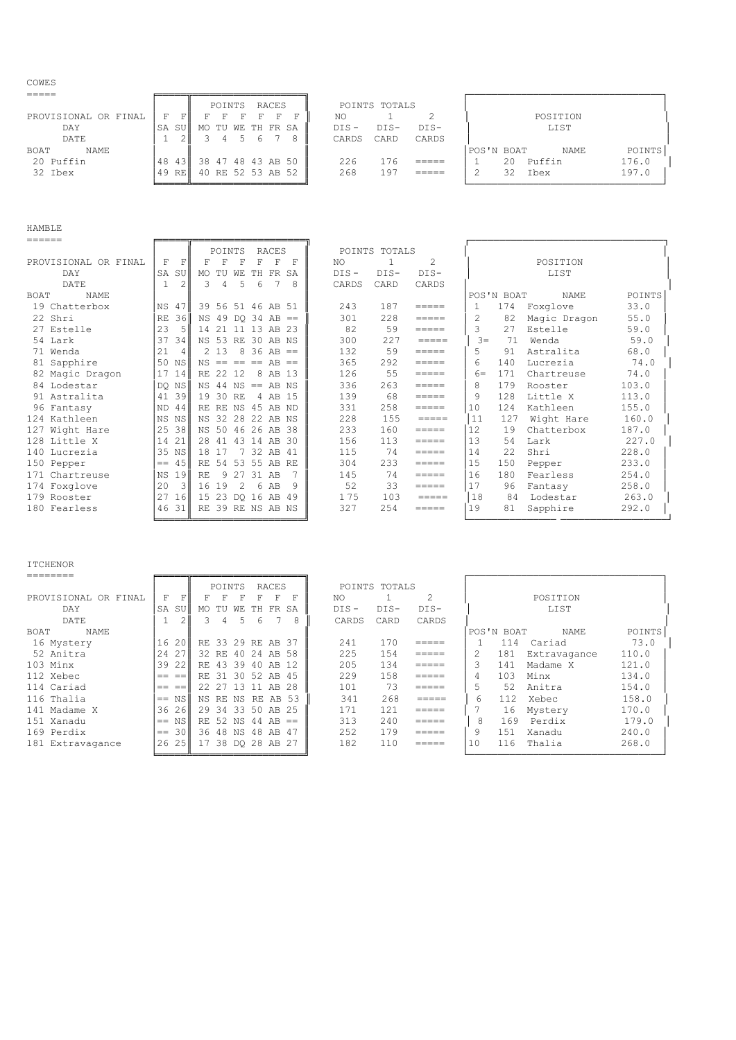COWES

|                      |         | RACES<br>POINTS   | POINTS TOTALS             |                                     |
|----------------------|---------|-------------------|---------------------------|-------------------------------------|
| PROVISIONAL OR FINAL | 同川<br>F |                   | NO                        | POSITION                            |
| DAY                  | SA SU   | MO TU WE TH FR SA | $DIS -$<br>DIS-<br>$DIS-$ | LIST                                |
| DATE                 |         | 5.<br>h           | CARD<br>CARDS<br>CARDS    |                                     |
| NAME<br>BOAT         |         |                   |                           | POINTS<br>POS'N BOAT<br><b>NAME</b> |
| 20 Puffin            | 48 431  | 38 47 48 43 AB 50 | 176<br>226<br>$=====$     | 176.0<br>Puffin<br>20               |
| 32 Ibex              | 49 REN  | 40 RE 52 53 AB 52 | 268<br>197<br>_____       | 197.0<br>32<br>Ibex                 |
|                      |         |                   |                           |                                     |

| -<br>-<br>--<br>_ |  |
|-------------------|--|

| ======                     |              |                |          |             |       |                         |     |    |         |               |                                          |                |            |              |        |
|----------------------------|--------------|----------------|----------|-------------|-------|-------------------------|-----|----|---------|---------------|------------------------------------------|----------------|------------|--------------|--------|
|                            |              |                |          | POINTS      |       | <b>RACES</b>            |     |    |         | POINTS TOTALS |                                          |                |            |              |        |
| PROVISIONAL OR FINAL       | F            | F              | F        | $\mathbf F$ | F     | F                       | F   | F  | NO.     | 1             | $\mathfrak{D}$                           |                |            | POSITION     |        |
| <b>DAY</b>                 | SA           | SU             | MO.      | TU          | WF.   | TН                      | FR. | SA | $DIS -$ | $DIS-$        | $DIS-$                                   |                |            | LIST         |        |
| DATE                       | $\mathbf{1}$ | $\overline{2}$ | 3        | 4           | 5     | 6                       |     | 8  | CARDS   | CARD          | CARDS                                    |                |            |              |        |
| <b>NAME</b><br><b>BOAT</b> |              |                |          |             |       |                         |     |    |         |               |                                          |                | POS'N BOAT | NAME         | POINTS |
| 19 Chatterbox              | NS.          | 47             |          |             |       | 39 56 51 46 AB 51       |     |    | 243     | 187           | =====                                    | 1              | 174        | Foxglove     | 33.0   |
| 22 Shri                    | <b>RE</b>    | 36             |          |             |       | $NS$ 49 DO 34 AB ==     |     |    | 301     | 228           | $\qquad \qquad = \qquad \qquad = \qquad$ | $\overline{c}$ | 82         | Magic Dragon | 55.0   |
| 27 Estelle                 | 23           | -51            |          |             |       | 14 21 11 13 AB 23       |     |    | 82      | 59            | =====                                    | 3              | 2.7        | Estelle      | 59.0   |
| 54 Lark                    | 37           | 34             |          |             |       | NS 53 RE 30 AB NS       |     |    | 300     | 227           |                                          | $\beta =$      | 71         | Wenda        | 59.0   |
| 71 Wenda                   | 21           | 4 <sup>1</sup> |          | 2 1 3       |       | $8 \, 36 \, AB ==$      |     |    | 132     | 59            | $\qquad \qquad = \qquad \qquad = \qquad$ | 5.             | 91         | Astralita    | 68.0   |
| 81 Sapphire                |              | 50 NS          |          |             |       | $NS == == == AR ==$     |     |    | 365     | 292           | =====                                    | 6              | 140        | Lucrezia     | 74.0   |
| 82 Magic Dragon            | 17           | 14             | RE 22 12 |             |       | 8 AB 13                 |     |    | 126     | 55            | =====                                    | $6 =$          | 171        | Chartreuse   | 74.0   |
| 84 Lodestar                |              | DO NS          |          |             |       | $NS$ 44 $NS$ == AB $NS$ |     |    | 336     | 263           | =====                                    | 8              | 179        | Rooster      | 103.0  |
| 91 Astralita               | 41           | 39 I           | 19 30 RE |             |       | 4 AB 15                 |     |    | 139     | 68            | =====                                    | 9              | 128        | Little X     | 113.0  |
| 96 Fantasy                 | ND.          | 44 I           |          |             |       | RE RE NS 45 AB ND       |     |    | 331     | 258           | =====                                    | 10             | 124        | Kathleen     | 155.0  |
| 124 Kathleen               |              | NS NS          |          |             |       | NS 32 28 22 AB NS       |     |    | 228     | 155           | $=$ $=$ $=$ $=$                          | 11             | 127        | Wight Hare   | 160.0  |
| 127 Wight Hare             | 25           | -38 II         |          |             |       | NS 50 46 26 AB 38       |     |    | 233     | 160           | =====                                    | 12             | 19         | Chatterbox   | 187.0  |
| 128 Little X               | 14           | 21             |          |             |       | 28 41 43 14 AB 30       |     |    | 156     | 113           | =====                                    | 13             | 54         | Lark         | 227.0  |
| 140 Lucrezia               |              | 35 NS          | 18 17    |             |       | 7 32 AB 41              |     |    | 115     | 74            | =====                                    | 14             | 22         | Shri         | 228.0  |
| 150 Pepper                 | $= -$        | 45 II          |          |             |       | RE 54 53 55 AB RE       |     |    | 304     | 233           | =====                                    | 15             | 150        | Pepper       | 233.0  |
| 171 Chartreuse             | NS.          | 19             | RF.      |             | 9 2 7 | 31 AB                   |     |    | 145     | 74            | =====                                    | 16             | 180        | Fearless     | 254.0  |
| 174 Foxglove               | 20           | -3 II          | 16 19    |             | 2     | 6 AB                    |     | 9  | 52      | 33            | =====                                    | 17             | 96         | Fantasy      | 258.0  |
| 179 Rooster                | 27           | 16             |          |             |       | 15 23 DQ 16 AB 49       |     |    | 175     | 103           | $=$ $=$ $=$ $=$                          | 18             | 84         | Lodestar     | 263.0  |
| 180 Fearless               |              | 4631           |          |             |       | RE 39 RE NS AB NS       |     |    | 327     | 254           | =====                                    | 19             | 81         | Sapphire     | 292.0  |

ITCHENOR<br>========

| .=======             |       |        |                   |        |                   |    |       |   |         |               |        |    |            |              |        |
|----------------------|-------|--------|-------------------|--------|-------------------|----|-------|---|---------|---------------|--------|----|------------|--------------|--------|
|                      |       |        |                   | POINTS |                   |    | RACES |   |         | POINTS TOTALS |        |    |            |              |        |
| PROVISIONAL OR FINAL | F     | FI     |                   | F      | F                 | F  | F     | F | NO.     |               |        |    |            | POSITION     |        |
| <b>DAY</b>           | SA    | SU     | MO.               | TU     | WE                | TH | FR SA |   | $DIS -$ | $DIS-$        | $DIS-$ |    |            | LIST         |        |
| DATE                 |       | $\sim$ |                   | 4      | 5.                | 6  |       | 8 | CARDS   | CARD          | CARDS  |    |            |              |        |
| NAME<br>BOAT         |       |        |                   |        |                   |    |       |   |         |               |        |    | POS'N BOAT | NAME         | POINTS |
| 16 Mystery           | 16    | 20     | RE 33 29 RE AB 37 |        |                   |    |       |   | 241     | 170           | =====  |    | 114        | Cariad       | 73.0   |
| 52 Anitra            | 24    | 2.7    |                   |        | 32 RE 40 24 AB 58 |    |       |   | 225     | 154           | =====  | 2  | 181        | Extravagance | 110.0  |
| 103 Minx             | 39    | -221   | RE 43             |        | 39 40             |    | AB 12 |   | 205     | 134           | =====  | 3  | 141        | Madame X     | 121.0  |
| 112 Xebec            | $=$   | $==$   |                   |        | RE 31 30 52 AB 45 |    |       |   | 229     | 158           | =====  | 4  | 103        | Minx         | 134.0  |
| 114 Cariad           | $= -$ | $=$    |                   |        | 22 27 13 11 AB 28 |    |       |   | 101     | 73            | =====  | 5  | 52         | Anitra       | 154.0  |
| 116 Thalia           | $==$  | NS     |                   |        | NS RE NS RE AB 53 |    |       |   | 341     | 268           | =====  | 6  | 112.       | Xebec        | 158.0  |
| 141 Madame X         | 36    | 26     |                   |        | 29 34 33 50 AB 25 |    |       |   | 171     | 121           | =====  |    | 16         | Mystery      | 170.0  |
| 151 Xanadu           | $==$  | NSI    |                   |        | RE 52 NS 44 AB == |    |       |   | 313     | 240           | =====  | 8  | 169        | Perdix       | 179.0  |
| 169 Perdix           | $==$  | 30     |                   |        | 36 48 NS 48 AB 47 |    |       |   | 252     | 179           | =====  | 9  | 151        | Xanadu       | 240.0  |
| 181 Extravagance     | 26    | 25     | 17                |        | 38 DO 28 AB 27    |    |       |   | 182     | 110           | =====  | 10 | 116        | Thalia       | 268.0  |
|                      |       |        |                   |        |                   |    |       |   |         |               |        |    |            |              |        |

╘═════╩╧═════════════════════╝<br>╘═════╩╧═══════════════════╝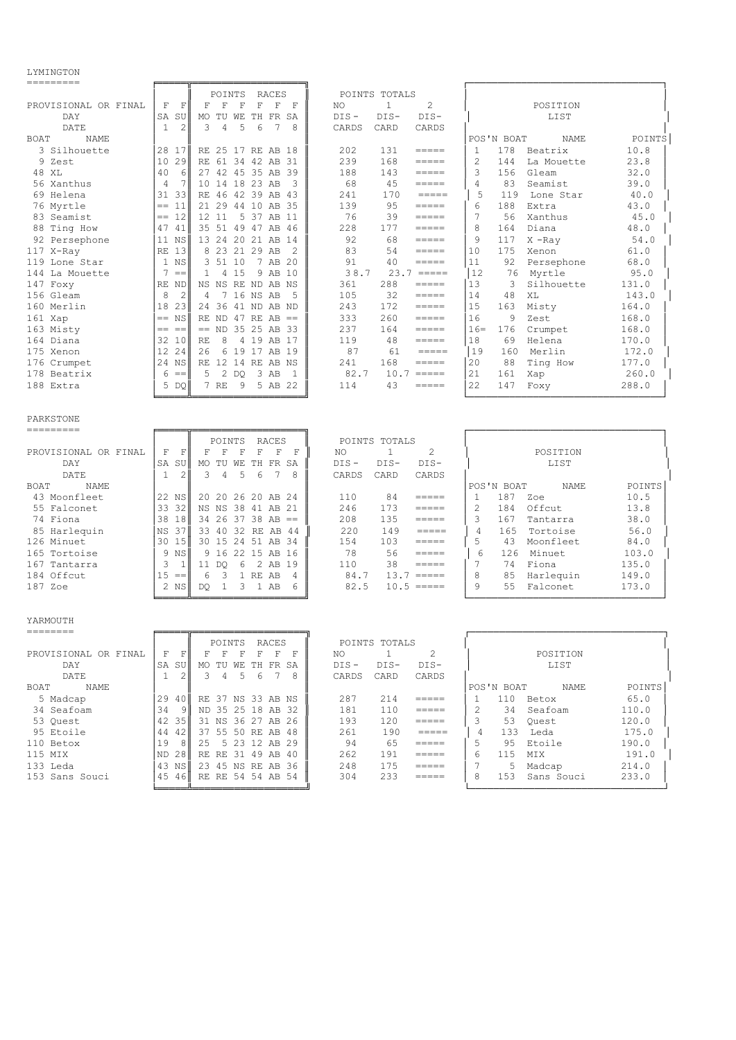LYMINGTON

|                                                                                                                                                                                                                                                                                                                                                                                                                                                                                  |                                | POINTS<br>RACES                                           | POINTS TOTALS                                                                                                                                                                                                                                                                                                                                                                                                                                                                                                                                                                                               |                                     |        |
|----------------------------------------------------------------------------------------------------------------------------------------------------------------------------------------------------------------------------------------------------------------------------------------------------------------------------------------------------------------------------------------------------------------------------------------------------------------------------------|--------------------------------|-----------------------------------------------------------|-------------------------------------------------------------------------------------------------------------------------------------------------------------------------------------------------------------------------------------------------------------------------------------------------------------------------------------------------------------------------------------------------------------------------------------------------------------------------------------------------------------------------------------------------------------------------------------------------------------|-------------------------------------|--------|
| PROVISIONAL OR FINAL                                                                                                                                                                                                                                                                                                                                                                                                                                                             | F<br>$\mathbf F$               | F<br>$_{\rm F}$<br>F<br>$\mathbf F$<br>$\mathbf{F}$<br>F  | 2<br>$\mathbf{1}$<br>NO                                                                                                                                                                                                                                                                                                                                                                                                                                                                                                                                                                                     | POSITION                            |        |
| <b>DAY</b>                                                                                                                                                                                                                                                                                                                                                                                                                                                                       | SA SU                          | WЕ<br>TH FR SA<br>MO TU                                   | $DIS -$<br>$DIS-$<br>$DIS-$                                                                                                                                                                                                                                                                                                                                                                                                                                                                                                                                                                                 | LIST                                |        |
| DATE                                                                                                                                                                                                                                                                                                                                                                                                                                                                             | $\mathbf{1}$<br>2              | 3<br>4<br>5<br>6<br>7<br>8                                | CARDS<br>CARDS<br>CARD                                                                                                                                                                                                                                                                                                                                                                                                                                                                                                                                                                                      |                                     |        |
| <b>BOAT</b><br><b>NAME</b>                                                                                                                                                                                                                                                                                                                                                                                                                                                       |                                |                                                           |                                                                                                                                                                                                                                                                                                                                                                                                                                                                                                                                                                                                             | POS'N BOAT<br><b>NAME</b>           | POINTS |
| 3 Silhouette                                                                                                                                                                                                                                                                                                                                                                                                                                                                     | 28 17                          | RE 25 17 RE AB 18                                         | 202<br>131                                                                                                                                                                                                                                                                                                                                                                                                                                                                                                                                                                                                  | 178<br>$\mathbf{1}$<br>Beatrix      | 10.8   |
| 9 Zest                                                                                                                                                                                                                                                                                                                                                                                                                                                                           | 29<br>10 <sup>°</sup>          | RE 61 34 42 AB 31                                         | 239<br>168<br>$\qquad \qquad \equiv \equiv \equiv \equiv \equiv$                                                                                                                                                                                                                                                                                                                                                                                                                                                                                                                                            | $\overline{2}$<br>144<br>La Mouette | 23.8   |
| 48 XL                                                                                                                                                                                                                                                                                                                                                                                                                                                                            | 40<br>6                        | 27 42 45 35 AB 39                                         | 188<br>143<br>$\qquad \qquad = \qquad \qquad = \qquad$                                                                                                                                                                                                                                                                                                                                                                                                                                                                                                                                                      | 3<br>156<br>Gleam                   | 32.0   |
| 56 Xanthus                                                                                                                                                                                                                                                                                                                                                                                                                                                                       | $\overline{4}$<br>7            | 10 14 18 23 AB<br>3                                       | 68<br>45<br>=====                                                                                                                                                                                                                                                                                                                                                                                                                                                                                                                                                                                           | $\overline{4}$<br>83<br>Seamist     | 39.0   |
| 69 Helena                                                                                                                                                                                                                                                                                                                                                                                                                                                                        | 31<br>-33                      | RE 46 42 39 AB 43                                         | 241<br>170<br>$\qquad \qquad \displaystyle =\qquad \qquad \displaystyle =\qquad \qquad$                                                                                                                                                                                                                                                                                                                                                                                                                                                                                                                     | 5<br>119<br>Lone Star               | 40.0   |
| 76 Myrtle                                                                                                                                                                                                                                                                                                                                                                                                                                                                        | 11<br>$=$                      | 21 29 44 10 AB 35                                         | 139<br>95<br>$\qquad \qquad \displaystyle =\qquad \qquad \displaystyle =\qquad \qquad$                                                                                                                                                                                                                                                                                                                                                                                                                                                                                                                      | 6<br>188<br>Extra                   | 43.0   |
| 83 Seamist                                                                                                                                                                                                                                                                                                                                                                                                                                                                       | $== 12$                        | 12 11<br>5 37 AB 11                                       | 76<br>39<br>$\qquad \qquad = \qquad \qquad = \qquad$                                                                                                                                                                                                                                                                                                                                                                                                                                                                                                                                                        | 7<br>56<br>Xanthus                  | 45.0   |
| 88 Ting How                                                                                                                                                                                                                                                                                                                                                                                                                                                                      | 47 41                          | 35 51 49 47 AB 46                                         | 228<br>177<br>$\qquad \qquad \displaystyle =\qquad \qquad \displaystyle =\qquad \qquad$                                                                                                                                                                                                                                                                                                                                                                                                                                                                                                                     | 8<br>164<br>Diana                   | 48.0   |
| 92 Persephone                                                                                                                                                                                                                                                                                                                                                                                                                                                                    | 11 NS                          | 13 24 20 21 AB 14                                         | 92<br>68<br>$=$ $=$ $=$ $=$                                                                                                                                                                                                                                                                                                                                                                                                                                                                                                                                                                                 | 9<br>117<br>$X$ -Ray                | 54.0   |
| 117 X-Ray                                                                                                                                                                                                                                                                                                                                                                                                                                                                        | RE<br>13                       | 8 23 21 29 AB<br>$\overline{c}$                           | 83<br>54<br>$=$ $=$ $=$ $=$                                                                                                                                                                                                                                                                                                                                                                                                                                                                                                                                                                                 | 10<br>175<br>Xenon                  | 61.0   |
| 119 Lone Star                                                                                                                                                                                                                                                                                                                                                                                                                                                                    | 1 NS                           | 3 51 10<br>7 AB 20                                        | 91<br>40<br>$== == =$                                                                                                                                                                                                                                                                                                                                                                                                                                                                                                                                                                                       | 11<br>92<br>Persephone              | 68.0   |
| La Mouette<br>144                                                                                                                                                                                                                                                                                                                                                                                                                                                                | 7<br>$==$                      | $\mathbf{1}$<br>4 15<br>9 AB 10                           | 38.7<br>$23.7 == ==$                                                                                                                                                                                                                                                                                                                                                                                                                                                                                                                                                                                        | 12<br>76<br>Myrtle                  | 95.0   |
| 147 Foxy                                                                                                                                                                                                                                                                                                                                                                                                                                                                         | RE<br>ND                       | NS NS RE ND AB NS                                         | 288<br>361<br>$=====$                                                                                                                                                                                                                                                                                                                                                                                                                                                                                                                                                                                       | 13<br>3<br>Silhouette               | 131.0  |
|                                                                                                                                                                                                                                                                                                                                                                                                                                                                                  | 8                              |                                                           | $=$ $=$ $=$ $=$                                                                                                                                                                                                                                                                                                                                                                                                                                                                                                                                                                                             | 48                                  |        |
| 156 Gleam                                                                                                                                                                                                                                                                                                                                                                                                                                                                        | $\overline{c}$                 | 7 16 NS AB<br>4<br>5                                      | 32<br>105                                                                                                                                                                                                                                                                                                                                                                                                                                                                                                                                                                                                   | 14<br>XL                            | 143.0  |
| 160 Merlin                                                                                                                                                                                                                                                                                                                                                                                                                                                                       | 18<br>23                       | 24 36 41 ND AB ND                                         | 243<br>172<br>$=$ $=$ $=$ $=$                                                                                                                                                                                                                                                                                                                                                                                                                                                                                                                                                                               | 15<br>163<br>Misty                  | 164.0  |
| 161 Xap                                                                                                                                                                                                                                                                                                                                                                                                                                                                          | NS<br>$=$                      | RE ND 47 RE AB<br>$=$                                     | 333<br>260<br>$=$ $=$ $=$ $=$                                                                                                                                                                                                                                                                                                                                                                                                                                                                                                                                                                               | 16<br>9<br>Zest                     | 168.0  |
| 163 Misty                                                                                                                                                                                                                                                                                                                                                                                                                                                                        | == ==                          | $==$ ND 35 25 AB 33                                       | 237<br>164<br>$=$ $=$ $=$ $=$                                                                                                                                                                                                                                                                                                                                                                                                                                                                                                                                                                               | $16=$<br>176<br>Crumpet             | 168.0  |
| 164 Diana                                                                                                                                                                                                                                                                                                                                                                                                                                                                        | 32 10                          | RE<br>8<br>4 19 AB 17                                     | 119<br>48<br>$\frac{1}{1}$                                                                                                                                                                                                                                                                                                                                                                                                                                                                                                                                                                                  | 18<br>69<br>Helena                  | 170.0  |
| 175 Xenon                                                                                                                                                                                                                                                                                                                                                                                                                                                                        | 12 24                          | 26<br>6 19 17 AB 19                                       | 87<br>61<br>$=$ $=$ $=$ $=$                                                                                                                                                                                                                                                                                                                                                                                                                                                                                                                                                                                 | 19<br>160<br>Merlin                 | 172.0  |
| 176 Crumpet                                                                                                                                                                                                                                                                                                                                                                                                                                                                      | 24 NS                          | RE 12 14 RE AB NS                                         | 241<br>168<br>$=$ $=$ $=$ $=$                                                                                                                                                                                                                                                                                                                                                                                                                                                                                                                                                                               | 20<br>88<br>Ting How                | 177.0  |
| 178 Beatrix                                                                                                                                                                                                                                                                                                                                                                                                                                                                      | 6<br>$=$ $=$                   | 5<br>2 DO<br>3 AB<br>1                                    | 82.7<br>$10.7$ =====                                                                                                                                                                                                                                                                                                                                                                                                                                                                                                                                                                                        | 21<br>161<br>Xap                    | 260.0  |
| 188 Extra                                                                                                                                                                                                                                                                                                                                                                                                                                                                        | 5 DQ                           | 7 RE<br>-9<br>5 AB 22                                     | 114<br>43<br>$\qquad \qquad \displaystyle =\qquad \qquad \displaystyle =\qquad \qquad$                                                                                                                                                                                                                                                                                                                                                                                                                                                                                                                      | 22<br>147<br>Foxy                   | 288.0  |
|                                                                                                                                                                                                                                                                                                                                                                                                                                                                                  |                                |                                                           |                                                                                                                                                                                                                                                                                                                                                                                                                                                                                                                                                                                                             |                                     |        |
| PARKSTONE<br>---------                                                                                                                                                                                                                                                                                                                                                                                                                                                           |                                |                                                           |                                                                                                                                                                                                                                                                                                                                                                                                                                                                                                                                                                                                             |                                     |        |
|                                                                                                                                                                                                                                                                                                                                                                                                                                                                                  |                                |                                                           |                                                                                                                                                                                                                                                                                                                                                                                                                                                                                                                                                                                                             |                                     |        |
|                                                                                                                                                                                                                                                                                                                                                                                                                                                                                  |                                | POINTS<br><b>RACES</b>                                    | POINTS TOTALS                                                                                                                                                                                                                                                                                                                                                                                                                                                                                                                                                                                               |                                     |        |
| PROVISIONAL OR FINAL                                                                                                                                                                                                                                                                                                                                                                                                                                                             | $\mathbf F$<br>$\mathbf F$     | F<br>$\mathbf F$<br>$\mathbf F$<br>F<br>$\mathbf{F}$<br>F | 2<br>$\mathbf{1}$<br>NO                                                                                                                                                                                                                                                                                                                                                                                                                                                                                                                                                                                     | POSITION                            |        |
| DAY                                                                                                                                                                                                                                                                                                                                                                                                                                                                              | SA<br>SU                       | MO TU WE<br>TH FR SA                                      | DIS-<br>$DIS-$<br>$DIS-$                                                                                                                                                                                                                                                                                                                                                                                                                                                                                                                                                                                    | LIST                                |        |
| DATE                                                                                                                                                                                                                                                                                                                                                                                                                                                                             | $\mathbf{1}$<br>$\overline{c}$ | 3<br>5<br>7<br>4<br>6<br>8                                | CARDS<br>CARD<br>CARDS                                                                                                                                                                                                                                                                                                                                                                                                                                                                                                                                                                                      |                                     |        |
| <b>BOAT</b><br><b>NAME</b>                                                                                                                                                                                                                                                                                                                                                                                                                                                       |                                |                                                           |                                                                                                                                                                                                                                                                                                                                                                                                                                                                                                                                                                                                             | POS'N BOAT<br><b>NAME</b>           | POINTS |
| 43 Moonfleet                                                                                                                                                                                                                                                                                                                                                                                                                                                                     | 22 NS                          | 20<br>20 26 20 AB 24                                      | 110<br>84<br>$=$ $=$ $=$ $=$                                                                                                                                                                                                                                                                                                                                                                                                                                                                                                                                                                                | 187<br>$\mathbf{1}$<br>Zoe          | 10.5   |
| 55 Falconet                                                                                                                                                                                                                                                                                                                                                                                                                                                                      | 33<br>32                       | NS NS 38<br>41 AB 21                                      | 246<br>173<br>$\qquad \qquad \displaystyle =\qquad \qquad \displaystyle =\qquad \qquad$                                                                                                                                                                                                                                                                                                                                                                                                                                                                                                                     | $\overline{2}$<br>184<br>Offcut     | 13.8   |
| 74 Fiona                                                                                                                                                                                                                                                                                                                                                                                                                                                                         | 38 18                          | 34 26<br>37 38 AB<br>$=$                                  | 208<br>135<br>$=$ $=$ $=$ $=$                                                                                                                                                                                                                                                                                                                                                                                                                                                                                                                                                                               | 3<br>167<br>Tantarra                | 38.0   |
| 85 Harlequin                                                                                                                                                                                                                                                                                                                                                                                                                                                                     | NS.<br>37                      | 33 40 32 RE AB<br>-44                                     | 220<br>149<br>$=$ $=$ $=$ $=$                                                                                                                                                                                                                                                                                                                                                                                                                                                                                                                                                                               | 4<br>165<br>Tortoise                | 56.0   |
| 126 Minuet                                                                                                                                                                                                                                                                                                                                                                                                                                                                       | 30 15                          | 30 15<br>24 51 AB 34                                      | 154<br>103<br>$=$ $=$ $=$ $=$                                                                                                                                                                                                                                                                                                                                                                                                                                                                                                                                                                               | 5<br>43<br>Moonfleet                | 84.0   |
| 165 Tortoise                                                                                                                                                                                                                                                                                                                                                                                                                                                                     | 9 NS                           | 9 16<br>22 15 AB 16                                       | 78<br>56<br>=====                                                                                                                                                                                                                                                                                                                                                                                                                                                                                                                                                                                           | 6<br>Minuet<br>126                  | 103.0  |
| 167 Tantarra                                                                                                                                                                                                                                                                                                                                                                                                                                                                     | 3<br>$\mathbf{1}$              | 2 AB<br>6<br>19                                           | 110<br>38<br>=====                                                                                                                                                                                                                                                                                                                                                                                                                                                                                                                                                                                          | 7<br>74                             |        |
|                                                                                                                                                                                                                                                                                                                                                                                                                                                                                  | $=$                            | 11 DQ                                                     |                                                                                                                                                                                                                                                                                                                                                                                                                                                                                                                                                                                                             | Fiona                               | 135.0  |
| 184 Offcut                                                                                                                                                                                                                                                                                                                                                                                                                                                                       | 15                             | 3<br>1 RE AB<br>6<br>4                                    | 84.7<br>$13.7 == ==$                                                                                                                                                                                                                                                                                                                                                                                                                                                                                                                                                                                        | 8<br>85<br>Harlequin                | 149.0  |
| 187 Zoe                                                                                                                                                                                                                                                                                                                                                                                                                                                                          | 2 NS                           | 3<br>DQ.<br>$\mathbf{1}$<br>1 AB<br>6                     | 82.5<br>$10.5$ =====                                                                                                                                                                                                                                                                                                                                                                                                                                                                                                                                                                                        | 9<br>55<br>Falconet                 | 173.0  |
|                                                                                                                                                                                                                                                                                                                                                                                                                                                                                  |                                |                                                           |                                                                                                                                                                                                                                                                                                                                                                                                                                                                                                                                                                                                             |                                     |        |
| YARMOUTH                                                                                                                                                                                                                                                                                                                                                                                                                                                                         |                                |                                                           |                                                                                                                                                                                                                                                                                                                                                                                                                                                                                                                                                                                                             |                                     |        |
| $\begin{tabular}{lllllllllllll} \multicolumn{2}{l}{} & \multicolumn{2}{l}{} & \multicolumn{2}{l}{} & \multicolumn{2}{l}{} & \multicolumn{2}{l}{} & \multicolumn{2}{l}{} & \multicolumn{2}{l}{} & \multicolumn{2}{l}{} & \multicolumn{2}{l}{} & \multicolumn{2}{l}{} & \multicolumn{2}{l}{} & \multicolumn{2}{l}{} & \multicolumn{2}{l}{} & \multicolumn{2}{l}{} & \multicolumn{2}{l}{} & \multicolumn{2}{l}{} & \multicolumn{2}{l}{} & \multicolumn{2}{l}{} & \multicolumn{2}{l$ |                                |                                                           |                                                                                                                                                                                                                                                                                                                                                                                                                                                                                                                                                                                                             |                                     |        |
|                                                                                                                                                                                                                                                                                                                                                                                                                                                                                  |                                | POINTS RACES                                              | POINTS TOTALS                                                                                                                                                                                                                                                                                                                                                                                                                                                                                                                                                                                               |                                     |        |
| PROVISIONAL OR FINAL                                                                                                                                                                                                                                                                                                                                                                                                                                                             | FF                             | F F F F F F                                               | $\mathbf{1}$<br>$\overline{2}$<br>NO L                                                                                                                                                                                                                                                                                                                                                                                                                                                                                                                                                                      | POSITION                            |        |
| DAY                                                                                                                                                                                                                                                                                                                                                                                                                                                                              |                                | SA SU MO TU WE TH FR SA                                   | $DIS-$<br>$DIS -$<br>$DIS-$                                                                                                                                                                                                                                                                                                                                                                                                                                                                                                                                                                                 | LIST                                |        |
| DATE                                                                                                                                                                                                                                                                                                                                                                                                                                                                             | $1 \quad 2$                    | 3 4 5 6<br>7 8                                            | CARDS<br>CARD<br>CARDS                                                                                                                                                                                                                                                                                                                                                                                                                                                                                                                                                                                      |                                     |        |
| BOAT NAME                                                                                                                                                                                                                                                                                                                                                                                                                                                                        |                                |                                                           |                                                                                                                                                                                                                                                                                                                                                                                                                                                                                                                                                                                                             | POS'N BOAT NAME                     | POINTS |
| 5 Madcap                                                                                                                                                                                                                                                                                                                                                                                                                                                                         |                                | 29 40 RE 37 NS 33 AB NS                                   | 287<br>214<br>$\qquad \qquad \overline{\qquad \qquad }=\overline{\qquad \qquad }=\overline{\qquad \qquad }=\overline{\qquad \qquad }=\overline{\qquad \qquad }=\overline{\qquad \qquad }=\overline{\qquad \qquad }=\overline{\qquad \qquad }=\overline{\qquad \qquad }=\overline{\qquad \qquad }=\overline{\qquad \qquad }=\overline{\qquad \qquad }=\overline{\qquad \qquad }=\overline{\qquad \qquad }=\overline{\qquad \qquad }=\overline{\qquad \qquad }=\overline{\qquad \qquad }=\overline{\qquad \qquad }=\overline{\qquad \qquad }=\overline{\qquad \qquad }=\overline{\qquad \qquad }=\overline{\$ | 110 Betox<br>$\mathbf{1}$           | 65.0   |
| 34 Seafoam                                                                                                                                                                                                                                                                                                                                                                                                                                                                       | 34                             | 9 ND 35 25 18 AB 32                                       | 181<br>110<br>$\qquad \qquad \displaystyle =\qquad \qquad \displaystyle =\qquad \qquad$                                                                                                                                                                                                                                                                                                                                                                                                                                                                                                                     | 2<br>34 Seafoam                     | 110.0  |
| 53 Quest                                                                                                                                                                                                                                                                                                                                                                                                                                                                         | 42 35                          | 31 NS 36 27 AB 26                                         | 193<br>120<br>$\qquad \qquad \displaystyle =\qquad \qquad \displaystyle =\qquad \qquad$                                                                                                                                                                                                                                                                                                                                                                                                                                                                                                                     | 3<br>53 Quest                       | 120.0  |
| 95 Etoile                                                                                                                                                                                                                                                                                                                                                                                                                                                                        | 44 42                          | 37 55 50 RE AB 48                                         | 261<br>190<br>$\qquad \qquad \displaystyle =\qquad \qquad \displaystyle =\qquad \qquad$                                                                                                                                                                                                                                                                                                                                                                                                                                                                                                                     | $\overline{4}$<br>133 Leda          | 175.0  |
| 110 Betox                                                                                                                                                                                                                                                                                                                                                                                                                                                                        | 19<br>8 <sup>1</sup>           | 25 5 23 12 AB 29                                          | 94<br>65<br>$=$ $=$ $=$ $=$                                                                                                                                                                                                                                                                                                                                                                                                                                                                                                                                                                                 | 95 Etoile<br>5                      | 190.0  |
| 115 MIX                                                                                                                                                                                                                                                                                                                                                                                                                                                                          | ND 28                          | RE RE 31 49 AB 40                                         | 262<br>191<br>$\qquad \qquad \overline{\qquad \qquad }=\overline{\qquad \qquad }=\overline{\qquad \qquad }=\overline{\qquad \qquad }=\overline{\qquad \qquad }=\overline{\qquad \qquad }=\overline{\qquad \qquad }=\overline{\qquad \qquad }=\overline{\qquad \qquad }=\overline{\qquad \qquad }=\overline{\qquad \qquad }=\overline{\qquad \qquad }=\overline{\qquad \qquad }=\overline{\qquad \qquad }=\overline{\qquad \qquad }=\overline{\qquad \qquad }=\overline{\qquad \qquad }=\overline{\qquad \qquad }=\overline{\qquad \qquad }=\overline{\qquad \qquad }=\overline{\qquad \qquad }=\overline{\$ | 6<br>115<br>MIX                     | 191.0  |
| 133 Leda                                                                                                                                                                                                                                                                                                                                                                                                                                                                         | 43 NS                          | 23 45 NS RE AB 36                                         | 248<br>175<br>$=$ $=$ $=$ $=$                                                                                                                                                                                                                                                                                                                                                                                                                                                                                                                                                                               | 7<br>5<br>Madcap                    | 214.0  |
| 153 Sans Souci                                                                                                                                                                                                                                                                                                                                                                                                                                                                   |                                | 45 46 RE RE 54 54 AB 54                                   | 304<br>233<br>$\qquad \qquad \overline{\qquad \qquad }=\overline{\qquad \qquad }=\overline{\qquad \qquad }=\overline{\qquad \qquad }=\overline{\qquad \qquad }=\overline{\qquad \qquad }=\overline{\qquad \qquad }=\overline{\qquad \qquad }=\overline{\qquad \qquad }=\overline{\qquad \qquad }=\overline{\qquad \qquad }=\overline{\qquad \qquad }=\overline{\qquad \qquad }=\overline{\qquad \qquad }=\overline{\qquad \qquad }=\overline{\qquad \qquad }=\overline{\qquad \qquad }=\overline{\qquad \qquad }=\overline{\qquad \qquad }=\overline{\qquad \qquad }=\overline{\qquad \qquad }=\overline{\$ | 8<br>153 Sans Souci                 | 233.0  |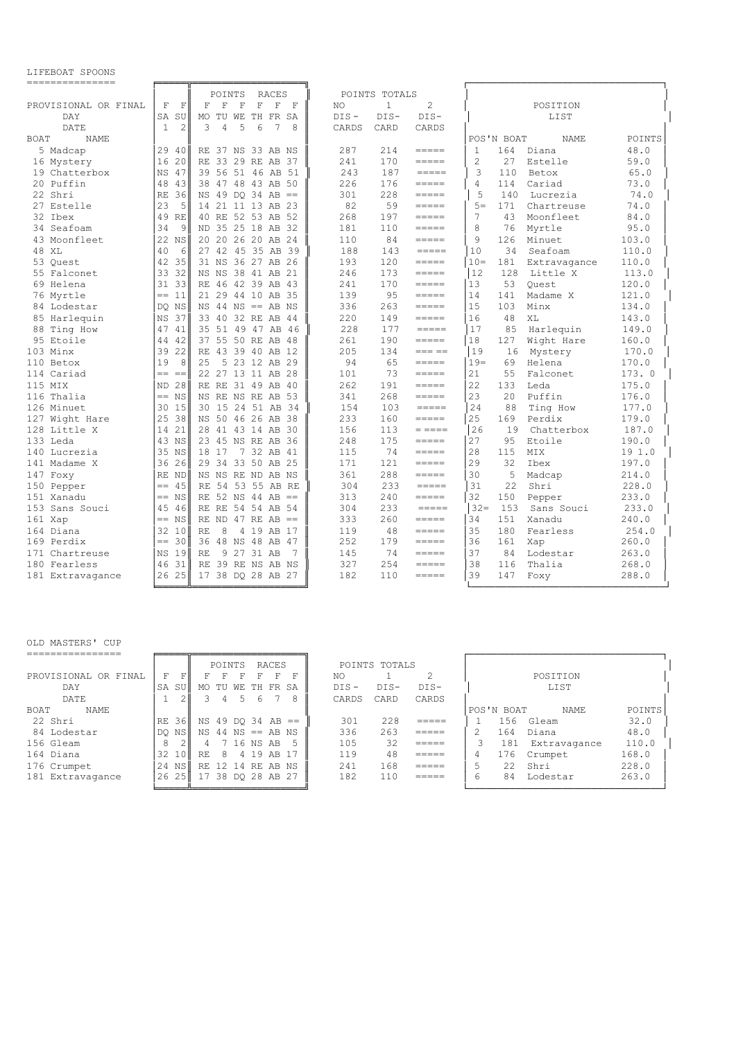LIFEBOAT SPOONS

| ===============            |                              |                                                                                                                   |         |               |                                                 |                      |              |        |
|----------------------------|------------------------------|-------------------------------------------------------------------------------------------------------------------|---------|---------------|-------------------------------------------------|----------------------|--------------|--------|
|                            |                              | POINTS<br><b>RACES</b>                                                                                            |         | POINTS TOTALS |                                                 |                      |              |        |
| PROVISIONAL OR FINAL       | F<br>$\overline{\mathrm{F}}$ | $\mathbf{F}$<br>$\overline{\mathrm{F}}$<br>$\mathbf F$<br>$\overline{\mathrm{F}}$<br>$\overline{\mathrm{F}}$<br>F | NO      | $\mathbf{1}$  | $\overline{c}$                                  |                      | POSITION     |        |
| <b>DAY</b>                 | <b>SA</b><br>SU              | MO TU WE<br>TH<br>FR SA                                                                                           | $DTS -$ | $DIS-$        | $DTS-$                                          |                      | LIST         |        |
| DATE                       | 1<br>2                       | 3<br>$\overline{4}$<br>5<br>6<br>7<br>8                                                                           | CARDS   | CARD          | CARDS                                           |                      |              |        |
| <b>BOAT</b><br><b>NAME</b> |                              |                                                                                                                   |         |               |                                                 | POS'N BOAT           | <b>NAME</b>  | POINTS |
| 5 Madcap                   | 29<br>40                     | RE 37 NS 33 AB NS                                                                                                 | 287     | 214           | =====                                           | $\mathbf{1}$<br>164  | Diana        | 48.0   |
| 16 Mystery                 | 16<br>20                     | RE 33 29 RE AB 37                                                                                                 | 241     | 170           |                                                 | $\overline{c}$<br>27 | Estelle      | 59.0   |
| 19 Chatterbox              | $_{\rm NS}$<br>47            | 39 56 51 46 AB 51                                                                                                 | 243     | 187           | $\qquad \qquad = \qquad \qquad = \qquad \qquad$ | 3<br>110             | Betox        | 65.0   |
| 20 Puffin                  | 48<br>43                     | 38 47 48 43 AB<br>50                                                                                              | 226     | 176           | $=$ $=$ $=$ $=$                                 | 114<br>4             | Cariad       | 73.0   |
| 22 Shri                    | 36<br><b>RE</b>              | NS 49 DO 34 AB<br>$=$                                                                                             | 301     | 228           | =====                                           | 5<br>140             | Lucrezia     | 74.0   |
| Estelle<br>2.7             | 23<br>5                      | 14 21 11 13 AB 23                                                                                                 | 82      | 59            | $=====$                                         | $5 =$<br>171         | Chartreuse   | 74.0   |
| 32 Ibex                    | 49<br>RF.                    | 40 RE 52 53 AB 52                                                                                                 | 268     | 197           | $=$ $=$ $=$ $=$                                 | 7<br>43              | Moonfleet    | 84.0   |
| 34<br>Seafoam              | 34<br>9                      | ND 35 25 18<br>AB<br>-32                                                                                          | 181     | 110           | $= = = = =$                                     | 8<br>76              | Myrtle       | 95.0   |
| 43 Moonfleet               | 22<br>NS                     | 20 20 26 20 AB<br>24                                                                                              | 110     | 84            | =====                                           | 9<br>126             | Minuet       | 103.0  |
| 48 XT.                     | 40<br>6                      | 27, 42<br>45 35 AB 39                                                                                             | 188     | 143           | $=$ $=$ $=$ $=$                                 | 10<br>34             | Seafoam      | 110.0  |
| 53 Ouest                   | 42<br>35                     | 36<br>27 AB<br>31 NS<br>26                                                                                        | 193     | 120           | =====                                           | $10 =$<br>181        | Extravagance | 110.0  |
| 55 Falconet                | 33<br>32                     | NS NS 38 41 AB<br>-21                                                                                             | 246     | 173           | $=====$                                         | 12<br>128            | Little X     | 113.0  |
| 69 Helena                  | 31 33                        | RE 46 42 39 AB<br>-43                                                                                             | 241     | 170           | =====                                           | 13<br>53             | Ouest        | 120.0  |
| 76 Myrtle                  | 11<br>$=$                    | 21 29 44 10 AB<br>- 35                                                                                            | 139     | 95            | $= = = = =$                                     | 14<br>141            | Madame X     | 121.0  |
| 84 Lodestar                | DQ NS                        | $NS$ 44 $NS$ == AB $NS$                                                                                           | 336     | 263           |                                                 | 15<br>103            | Minx         | 134.0  |
| 85 Harlequin               | 37<br>$_{\rm NS}$            | 33 40 32 RE<br>AB<br>-44                                                                                          | 220     | 149           | $= = = = =$                                     | 16<br>48             | XL           | 143.0  |
| 88 Ting How                | 47<br>41                     | 35 51 49 47 AB 46                                                                                                 | 228     | 177           | $=====$                                         | 17<br>85             | Harlequin    | 149.0  |
| 95 Etoile                  | 42<br>44                     | 37 55 50 RE AB<br>-48                                                                                             | 261     | 190           | =====                                           | 18<br>127            | Wight Hare   | 160.0  |
| 103 Minx                   | 39<br>22                     | RE 43 39 40 AB<br>12                                                                                              | 205     | 134           | $== == ==$                                      | 19<br>16             | Mystery      | 170.0  |
| 110 Betox                  | 19<br>8                      | 2.5<br>5 23 12 AB 29                                                                                              | 94      | 65            | =====                                           | $19 =$<br>69         | Helena       | 170.0  |
| 114 Cariad                 | $=$<br>$=$                   | 22 27 13 11 AB 28                                                                                                 | 101     | 73            | =====                                           | 21<br>55             | Falconet     | 173.0  |
| 115 MTX                    | 28<br><b>ND</b>              | RE RE 31 49 AB<br>-40                                                                                             | 262     | 191           | $=====$                                         | 22<br>133            | Leda         | 175.0  |
| 116 Thalia                 | $==$ NS                      | NS RE NS RE AB 53                                                                                                 | 341     | 268           | =====                                           | 23<br>20             | Puffin       | 176.0  |
| 126 Minuet                 | 30<br>15                     | 30 15 24 51 AB 34                                                                                                 | 154     | 103           | $=====$                                         | 24<br>88             | Ting How     | 177.0  |
| 127 Wight Hare             | 25<br>38                     | NS 50 46 26 AB 38                                                                                                 | 233     | 160           | $= = = = =$                                     | 25<br>169            | Perdix       | 179.0  |
| 128 Little X               | 21<br>14                     | 28 41 43 14 AB 30                                                                                                 | 156     | 113           | $=$ $=$ $=$ $=$                                 | 26<br>19             | Chatterbox   | 187.0  |
| 133 Leda                   | NS<br>43                     | 23 45 NS RE<br>AB<br>-36                                                                                          | 248     | 175           | $= = = = =$                                     | 27<br>95             | Etoile       | 190.0  |
| 140 Lucrezia               | 35<br>ΝS                     | 7 32 AB<br>18 17<br>41                                                                                            | 115     | 74            | =====                                           | 28<br>115            | MIX          | 19 1.0 |
| Madame X<br>141            | 26<br>36                     | 29 34 33 50 AB<br>25                                                                                              | 171     | 121           | $= = = = =$                                     | 29<br>32             | Ibex         | 197.0  |
| 147 Foxy                   | RE<br>ND                     | NS NS RE ND AB NS                                                                                                 | 361     | 288           | =====                                           | 30<br>5              | Madcap       | 214.0  |
| 150 Pepper                 | 45<br>$=$                    | RE 54 53 55 AB RE                                                                                                 | 304     | 233           | $=====$                                         | 22.2<br>31           | Shri         | 228.0  |
| 151 Xanadu                 | $==$ NS                      | RE 52 NS 44 AB<br>$=$                                                                                             | 313     | 240           | $=$ $=$ $=$ $=$                                 | 32<br>150            | Pepper       | 233.0  |
| 153 Sans Souci             | 45<br>46                     | RE RE 54 54 AB<br>54                                                                                              | 304     | 233           | $=$ $=$ $=$ $=$                                 | $32 =$<br>153        | Sans Souci   | 233.0  |
| 161 Xap                    | $==$ NS                      | RE ND 47 RE AB<br>$=$                                                                                             | 333     | 260           | =====                                           | 34<br>151            | Xanadu       | 240.0  |
| 164 Diana                  | 32<br>10                     | <b>RE</b><br>8<br>4<br>19<br>AB<br>-17                                                                            | 119     | 48            | $= = = = =$                                     | 35<br>180            | Fearless     | 254.0  |
| 169 Perdix                 | 30<br>$==$                   | 36 48 NS 48 AB<br>-47                                                                                             | 252     | 179           | =====                                           | 36<br>161            | Xap          | 260.0  |
| 171 Chartreuse             | 19<br>NS                     | 9 27 31 AB<br><b>RE</b><br>7                                                                                      | 145     | 74            | $= = = = =$                                     | 37<br>84             | Lodestar     | 263.0  |
| 180 Fearless               | 46<br>31                     | RE 39 RE NS AB NS                                                                                                 | 327     | 254           | =====                                           | 38<br>116            | Thalia       | 268.0  |
| 181 Extravagance           | 26 25                        | 17 38 DO 28 AB 27                                                                                                 | 182     | 110           | =====                                           | 39<br>147            | Foxy         | 288.0  |
|                            |                              |                                                                                                                   |         |               |                                                 |                      |              |        |

## OLD MASTERS' CUP

|                      |             |     | POINTS |   |            | RACES                   |         | POINTS TOTALS |                |   |            |              |        |
|----------------------|-------------|-----|--------|---|------------|-------------------------|---------|---------------|----------------|---|------------|--------------|--------|
| PROVISIONAL OR FINAL | FI<br>F     |     |        |   | F          | F<br>ы                  | NO.     |               |                |   |            | POSTTION     |        |
| DAY                  | SA<br>.sul  | MO  | TU     |   |            | WE TH FR SA             | $DIS -$ | $DTS-$        | $DTS-$         |   |            | LIST         |        |
| DATE                 |             |     | 4      | 5 | 6          | 8                       | CARDS   | CARD          | CARDS          |   |            |              |        |
| NAME<br><b>BOAT</b>  |             |     |        |   |            |                         |         |               |                |   | POS'N BOAT | NAME         | POINTS |
| 22 Shri              | 36 II<br>RE |     |        |   |            | $NS 49 DO 34 AB ==$     | 301     | 228           | =====          |   | 156        | Gleam        | 32.0   |
| 84 Lodestar          | NSI<br>DO I |     |        |   |            | $NS$ 44 $NS$ == AB $NS$ | 336     | 263           | =====          |   | 164        | Diana        | 48.0   |
| 156 Gleam            | 8           | 4   |        |   | 7 16 NS AB | .5                      | 105     | 32            | =====          |   | 181        | Extravagance | 110.0  |
| 164 Diana            | 32<br>10F   | RF. | 8      |   |            | 4 19 AB 17              | 119     | 48            | =====          | 4 | 176        | Crumpet      | 168.0  |
| 176 Crumpet          | 24<br>NSI   |     |        |   |            | RE 12 14 RE AB NS       | 2.41    | 168           | =====          | 5 | 2.2        | Shri         | 228.0  |
| 181<br>Extravagance  | 25 l<br>26  | 17  |        |   |            | 38 DO 28 AB 27          | 182     | 110           | ------<br>---- | 6 | 84         | Lodestar     | 263.0  |
|                      |             |     |        |   |            |                         |         |               |                |   |            |              |        |